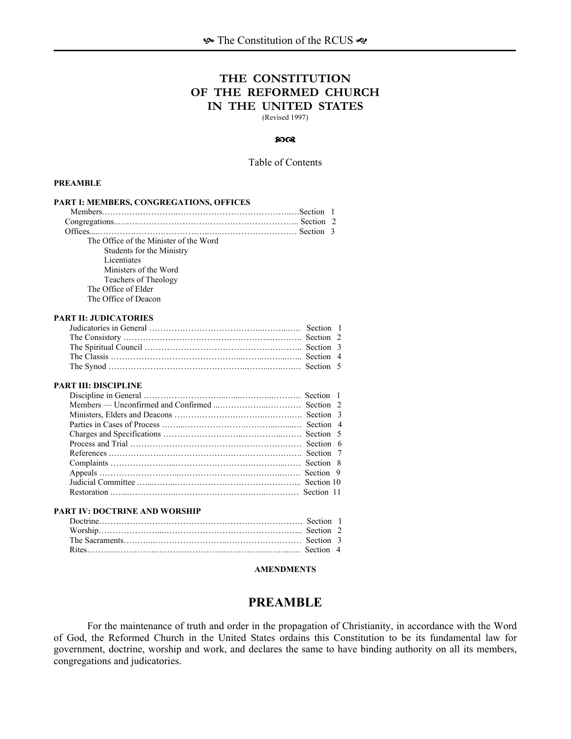# **THE CONSTITUTION OF THE REFORMED CHURCH IN THE UNITED STATES**

(Revised 1997)

#### $90^\circ$

#### Table of Contents

#### **PREAMBLE**

| PART I: MEMBERS, CONGREGATIONS, OFFICES |                |
|-----------------------------------------|----------------|
|                                         | - 1            |
|                                         |                |
|                                         |                |
| The Office of the Minister of the Word  |                |
| Students for the Ministry               |                |
| Licentiates                             |                |
| Ministers of the Word                   |                |
| Teachers of Theology                    |                |
| The Office of Elder                     |                |
| The Office of Deacon                    |                |
| <b>PART II: JUDICATORIES</b>            |                |
|                                         | -1             |
|                                         | 2              |
|                                         |                |
|                                         | $\overline{4}$ |
|                                         |                |
| <b>PART III: DISCIPLINE</b>             |                |
|                                         |                |
|                                         | $\mathfrak{D}$ |
|                                         | 3              |
|                                         | $\overline{4}$ |
|                                         | 5              |
|                                         | 6              |
|                                         | 7              |
|                                         | 8              |
|                                         | 9              |
|                                         |                |
|                                         |                |
| PART IV: DOCTRINE AND WORSHIP           |                |
|                                         |                |
|                                         | $\mathcal{L}$  |
|                                         | 3              |
|                                         |                |

## **AMENDMENTS**

# **PREAMBLE**

For the maintenance of truth and order in the propagation of Christianity, in accordance with the Word of God, the Reformed Church in the United States ordains this Constitution to be its fundamental law for government, doctrine, worship and work, and declares the same to have binding authority on all its members, congregations and judicatories.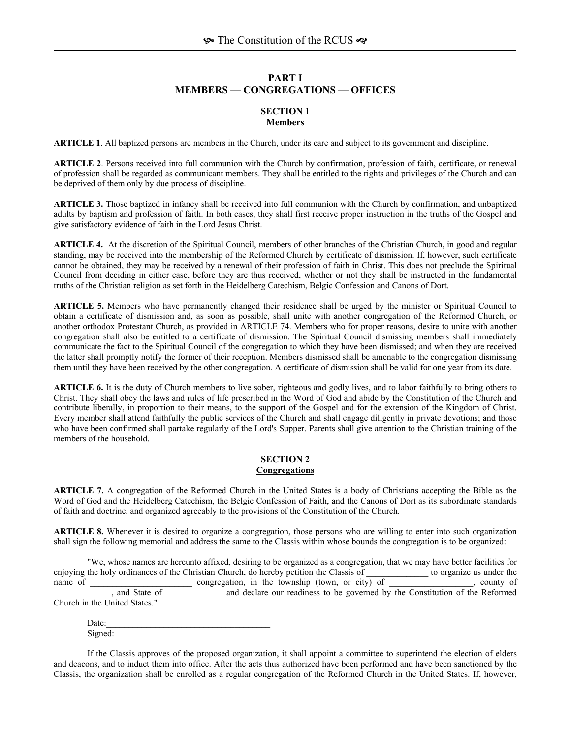# **PART I MEMBERS — CONGREGATIONS — OFFICES**

#### **SECTION 1 Members**

**ARTICLE 1**. All baptized persons are members in the Church, under its care and subject to its government and discipline.

**ARTICLE 2**. Persons received into full communion with the Church by confirmation, profession of faith, certificate, or renewal of profession shall be regarded as communicant members. They shall be entitled to the rights and privileges of the Church and can be deprived of them only by due process of discipline.

**ARTICLE 3.** Those baptized in infancy shall be received into full communion with the Church by confirmation, and unbaptized adults by baptism and profession of faith. In both cases, they shall first receive proper instruction in the truths of the Gospel and give satisfactory evidence of faith in the Lord Jesus Christ.

**ARTICLE 4.** At the discretion of the Spiritual Council, members of other branches of the Christian Church, in good and regular standing, may be received into the membership of the Reformed Church by certificate of dismission. If, however, such certificate cannot be obtained, they may be received by a renewal of their profession of faith in Christ. This does not preclude the Spiritual Council from deciding in either case, before they are thus received, whether or not they shall be instructed in the fundamental truths of the Christian religion as set forth in the Heidelberg Catechism, Belgic Confession and Canons of Dort.

**ARTICLE 5.** Members who have permanently changed their residence shall be urged by the minister or Spiritual Council to obtain a certificate of dismission and, as soon as possible, shall unite with another congregation of the Reformed Church, or another orthodox Protestant Church, as provided in ARTICLE 74. Members who for proper reasons, desire to unite with another congregation shall also be entitled to a certificate of dismission. The Spiritual Council dismissing members shall immediately communicate the fact to the Spiritual Council of the congregation to which they have been dismissed; and when they are received the latter shall promptly notify the former of their reception. Members dismissed shall be amenable to the congregation dismissing them until they have been received by the other congregation. A certificate of dismission shall be valid for one year from its date.

**ARTICLE 6.** It is the duty of Church members to live sober, righteous and godly lives, and to labor faithfully to bring others to Christ. They shall obey the laws and rules of life prescribed in the Word of God and abide by the Constitution of the Church and contribute liberally, in proportion to their means, to the support of the Gospel and for the extension of the Kingdom of Christ. Every member shall attend faithfully the public services of the Church and shall engage diligently in private devotions; and those who have been confirmed shall partake regularly of the Lord's Supper. Parents shall give attention to the Christian training of the members of the household.

### **SECTION 2 Congregations**

**ARTICLE 7.** A congregation of the Reformed Church in the United States is a body of Christians accepting the Bible as the Word of God and the Heidelberg Catechism, the Belgic Confession of Faith, and the Canons of Dort as its subordinate standards of faith and doctrine, and organized agreeably to the provisions of the Constitution of the Church.

**ARTICLE 8.** Whenever it is desired to organize a congregation, those persons who are willing to enter into such organization shall sign the following memorial and address the same to the Classis within whose bounds the congregation is to be organized:

 "We, whose names are hereunto affixed, desiring to be organized as a congregation, that we may have better facilities for enjoying the holy ordinances of the Christian Church, do hereby petition the Classis of \_\_\_\_\_\_\_\_\_\_\_\_ to organize us under the name of congregation, in the township (town, or city) of county of county of county of county of congregation, in the township (town, or city) of county of county of \_\_\_\_\_\_\_\_\_\_\_\_\_, and State of \_\_\_\_\_\_\_\_\_\_\_\_\_ and declare our readiness to be governed by the Constitution of the Reformed Church in the United States."

 $Date:$ Signed:

If the Classis approves of the proposed organization, it shall appoint a committee to superintend the election of elders and deacons, and to induct them into office. After the acts thus authorized have been performed and have been sanctioned by the Classis, the organization shall be enrolled as a regular congregation of the Reformed Church in the United States. If, however,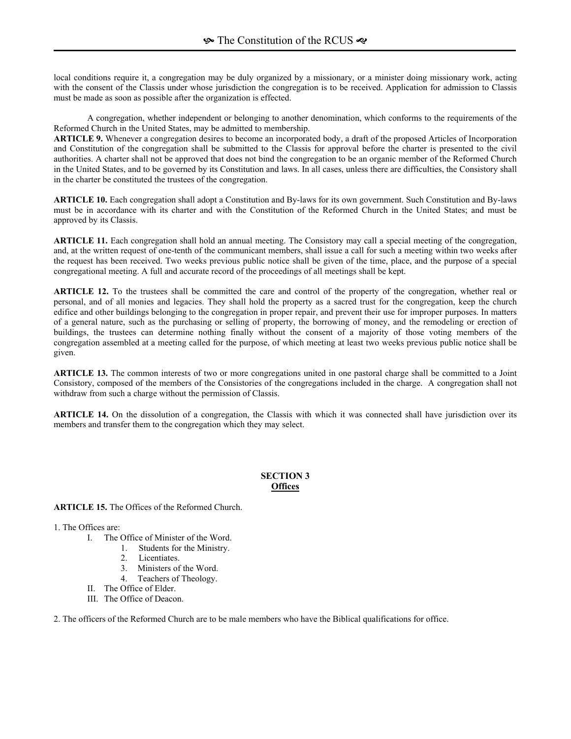local conditions require it, a congregation may be duly organized by a missionary, or a minister doing missionary work, acting with the consent of the Classis under whose jurisdiction the congregation is to be received. Application for admission to Classis must be made as soon as possible after the organization is effected.

A congregation, whether independent or belonging to another denomination, which conforms to the requirements of the Reformed Church in the United States, may be admitted to membership.

**ARTICLE 9.** Whenever a congregation desires to become an incorporated body, a draft of the proposed Articles of Incorporation and Constitution of the congregation shall be submitted to the Classis for approval before the charter is presented to the civil authorities. A charter shall not be approved that does not bind the congregation to be an organic member of the Reformed Church in the United States, and to be governed by its Constitution and laws. In all cases, unless there are difficulties, the Consistory shall in the charter be constituted the trustees of the congregation.

**ARTICLE 10.** Each congregation shall adopt a Constitution and By-laws for its own government. Such Constitution and By-laws must be in accordance with its charter and with the Constitution of the Reformed Church in the United States; and must be approved by its Classis.

**ARTICLE 11.** Each congregation shall hold an annual meeting. The Consistory may call a special meeting of the congregation, and, at the written request of one-tenth of the communicant members, shall issue a call for such a meeting within two weeks after the request has been received. Two weeks previous public notice shall be given of the time, place, and the purpose of a special congregational meeting. A full and accurate record of the proceedings of all meetings shall be kept.

**ARTICLE 12.** To the trustees shall be committed the care and control of the property of the congregation, whether real or personal, and of all monies and legacies. They shall hold the property as a sacred trust for the congregation, keep the church edifice and other buildings belonging to the congregation in proper repair, and prevent their use for improper purposes. In matters of a general nature, such as the purchasing or selling of property, the borrowing of money, and the remodeling or erection of buildings, the trustees can determine nothing finally without the consent of a majority of those voting members of the congregation assembled at a meeting called for the purpose, of which meeting at least two weeks previous public notice shall be given.

**ARTICLE 13.** The common interests of two or more congregations united in one pastoral charge shall be committed to a Joint Consistory, composed of the members of the Consistories of the congregations included in the charge. A congregation shall not withdraw from such a charge without the permission of Classis.

**ARTICLE 14.** On the dissolution of a congregation, the Classis with which it was connected shall have jurisdiction over its members and transfer them to the congregation which they may select.

# **SECTION 3 Offices**

**ARTICLE 15.** The Offices of the Reformed Church.

1. The Offices are:

- I. The Office of Minister of the Word.
	- 1. Students for the Ministry.
		- 2. Licentiates.
		- 3. Ministers of the Word.
		- 4. Teachers of Theology.
- II. The Office of Elder.
- III. The Office of Deacon.

2. The officers of the Reformed Church are to be male members who have the Biblical qualifications for office.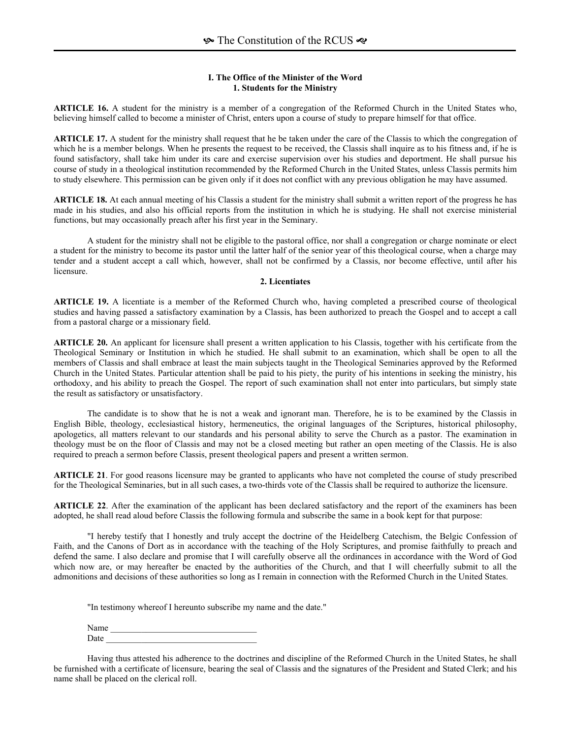## **I. The Office of the Minister of the Word 1. Students for the Ministry**

**ARTICLE 16.** A student for the ministry is a member of a congregation of the Reformed Church in the United States who, believing himself called to become a minister of Christ, enters upon a course of study to prepare himself for that office.

**ARTICLE 17.** A student for the ministry shall request that he be taken under the care of the Classis to which the congregation of which he is a member belongs. When he presents the request to be received, the Classis shall inquire as to his fitness and, if he is found satisfactory, shall take him under its care and exercise supervision over his studies and deportment. He shall pursue his course of study in a theological institution recommended by the Reformed Church in the United States, unless Classis permits him to study elsewhere. This permission can be given only if it does not conflict with any previous obligation he may have assumed.

**ARTICLE 18.** At each annual meeting of his Classis a student for the ministry shall submit a written report of the progress he has made in his studies, and also his official reports from the institution in which he is studying. He shall not exercise ministerial functions, but may occasionally preach after his first year in the Seminary.

A student for the ministry shall not be eligible to the pastoral office, nor shall a congregation or charge nominate or elect a student for the ministry to become its pastor until the latter half of the senior year of this theological course, when a charge may tender and a student accept a call which, however, shall not be confirmed by a Classis, nor become effective, until after his licensure.

#### **2. Licentiates**

**ARTICLE 19.** A licentiate is a member of the Reformed Church who, having completed a prescribed course of theological studies and having passed a satisfactory examination by a Classis, has been authorized to preach the Gospel and to accept a call from a pastoral charge or a missionary field.

**ARTICLE 20.** An applicant for licensure shall present a written application to his Classis, together with his certificate from the Theological Seminary or Institution in which he studied. He shall submit to an examination, which shall be open to all the members of Classis and shall embrace at least the main subjects taught in the Theological Seminaries approved by the Reformed Church in the United States. Particular attention shall be paid to his piety, the purity of his intentions in seeking the ministry, his orthodoxy, and his ability to preach the Gospel. The report of such examination shall not enter into particulars, but simply state the result as satisfactory or unsatisfactory.

The candidate is to show that he is not a weak and ignorant man. Therefore, he is to be examined by the Classis in English Bible, theology, ecclesiastical history, hermeneutics, the original languages of the Scriptures, historical philosophy, apologetics, all matters relevant to our standards and his personal ability to serve the Church as a pastor. The examination in theology must be on the floor of Classis and may not be a closed meeting but rather an open meeting of the Classis. He is also required to preach a sermon before Classis, present theological papers and present a written sermon.

**ARTICLE 21**. For good reasons licensure may be granted to applicants who have not completed the course of study prescribed for the Theological Seminaries, but in all such cases, a two-thirds vote of the Classis shall be required to authorize the licensure.

**ARTICLE 22**. After the examination of the applicant has been declared satisfactory and the report of the examiners has been adopted, he shall read aloud before Classis the following formula and subscribe the same in a book kept for that purpose:

"I hereby testify that I honestly and truly accept the doctrine of the Heidelberg Catechism, the Belgic Confession of Faith, and the Canons of Dort as in accordance with the teaching of the Holy Scriptures, and promise faithfully to preach and defend the same. I also declare and promise that I will carefully observe all the ordinances in accordance with the Word of God which now are, or may hereafter be enacted by the authorities of the Church, and that I will cheerfully submit to all the admonitions and decisions of these authorities so long as I remain in connection with the Reformed Church in the United States.

"In testimony whereof I hereunto subscribe my name and the date."

Name Date  $\Box$ 

Having thus attested his adherence to the doctrines and discipline of the Reformed Church in the United States, he shall be furnished with a certificate of licensure, bearing the seal of Classis and the signatures of the President and Stated Clerk; and his name shall be placed on the clerical roll.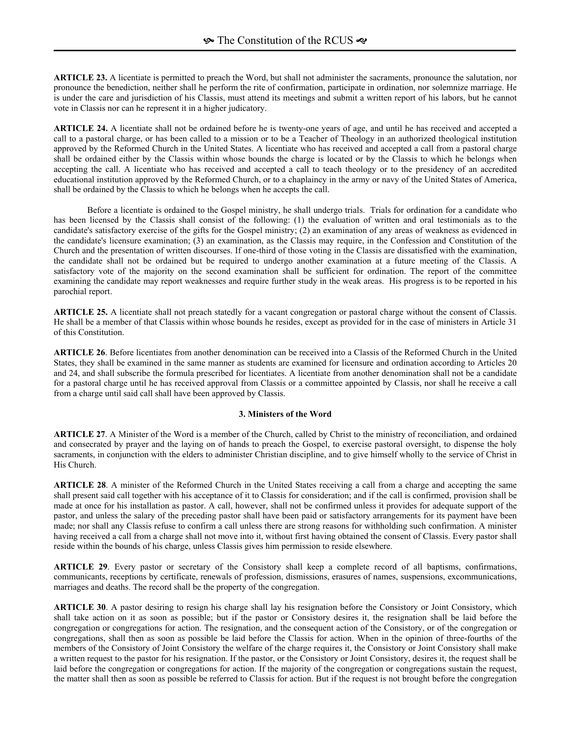**ARTICLE 23.** A licentiate is permitted to preach the Word, but shall not administer the sacraments, pronounce the salutation, nor pronounce the benediction, neither shall he perform the rite of confirmation, participate in ordination, nor solemnize marriage. He is under the care and jurisdiction of his Classis, must attend its meetings and submit a written report of his labors, but he cannot vote in Classis nor can he represent it in a higher judicatory.

**ARTICLE 24.** A licentiate shall not be ordained before he is twenty-one years of age, and until he has received and accepted a call to a pastoral charge, or has been called to a mission or to be a Teacher of Theology in an authorized theological institution approved by the Reformed Church in the United States. A licentiate who has received and accepted a call from a pastoral charge shall be ordained either by the Classis within whose bounds the charge is located or by the Classis to which he belongs when accepting the call. A licentiate who has received and accepted a call to teach theology or to the presidency of an accredited educational institution approved by the Reformed Church, or to a chaplaincy in the army or navy of the United States of America, shall be ordained by the Classis to which he belongs when he accepts the call.

Before a licentiate is ordained to the Gospel ministry, he shall undergo trials. Trials for ordination for a candidate who has been licensed by the Classis shall consist of the following: (1) the evaluation of written and oral testimonials as to the candidate's satisfactory exercise of the gifts for the Gospel ministry; (2) an examination of any areas of weakness as evidenced in the candidate's licensure examination; (3) an examination, as the Classis may require, in the Confession and Constitution of the Church and the presentation of written discourses. If one-third of those voting in the Classis are dissatisfied with the examination, the candidate shall not be ordained but be required to undergo another examination at a future meeting of the Classis. A satisfactory vote of the majority on the second examination shall be sufficient for ordination. The report of the committee examining the candidate may report weaknesses and require further study in the weak areas. His progress is to be reported in his parochial report.

**ARTICLE 25.** A licentiate shall not preach statedly for a vacant congregation or pastoral charge without the consent of Classis. He shall be a member of that Classis within whose bounds he resides, except as provided for in the case of ministers in Article 31 of this Constitution.

**ARTICLE 26**. Before licentiates from another denomination can be received into a Classis of the Reformed Church in the United States, they shall be examined in the same manner as students are examined for licensure and ordination according to Articles 20 and 24, and shall subscribe the formula prescribed for licentiates. A licentiate from another denomination shall not be a candidate for a pastoral charge until he has received approval from Classis or a committee appointed by Classis, nor shall he receive a call from a charge until said call shall have been approved by Classis.

#### **3. Ministers of the Word**

**ARTICLE 27**. A Minister of the Word is a member of the Church, called by Christ to the ministry of reconciliation, and ordained and consecrated by prayer and the laying on of hands to preach the Gospel, to exercise pastoral oversight, to dispense the holy sacraments, in conjunction with the elders to administer Christian discipline, and to give himself wholly to the service of Christ in His Church.

**ARTICLE 28**. A minister of the Reformed Church in the United States receiving a call from a charge and accepting the same shall present said call together with his acceptance of it to Classis for consideration; and if the call is confirmed, provision shall be made at once for his installation as pastor. A call, however, shall not be confirmed unless it provides for adequate support of the pastor, and unless the salary of the preceding pastor shall have been paid or satisfactory arrangements for its payment have been made; nor shall any Classis refuse to confirm a call unless there are strong reasons for withholding such confirmation. A minister having received a call from a charge shall not move into it, without first having obtained the consent of Classis. Every pastor shall reside within the bounds of his charge, unless Classis gives him permission to reside elsewhere.

**ARTICLE 29**. Every pastor or secretary of the Consistory shall keep a complete record of all baptisms, confirmations, communicants, receptions by certificate, renewals of profession, dismissions, erasures of names, suspensions, excommunications, marriages and deaths. The record shall be the property of the congregation.

**ARTICLE 30**. A pastor desiring to resign his charge shall lay his resignation before the Consistory or Joint Consistory, which shall take action on it as soon as possible; but if the pastor or Consistory desires it, the resignation shall be laid before the congregation or congregations for action. The resignation, and the consequent action of the Consistory, or of the congregation or congregations, shall then as soon as possible be laid before the Classis for action. When in the opinion of three-fourths of the members of the Consistory of Joint Consistory the welfare of the charge requires it, the Consistory or Joint Consistory shall make a written request to the pastor for his resignation. If the pastor, or the Consistory or Joint Consistory, desires it, the request shall be laid before the congregation or congregations for action. If the majority of the congregation or congregations sustain the request, the matter shall then as soon as possible be referred to Classis for action. But if the request is not brought before the congregation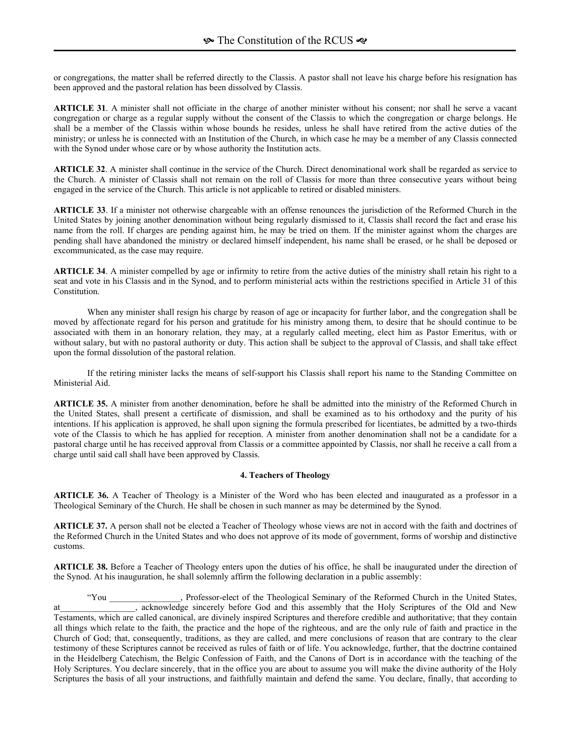or congregations, the matter shall be referred directly to the Classis. A pastor shall not leave his charge before his resignation has been approved and the pastoral relation has been dissolved by Classis.

**ARTICLE 31**. A minister shall not officiate in the charge of another minister without his consent; nor shall he serve a vacant congregation or charge as a regular supply without the consent of the Classis to which the congregation or charge belongs. He shall be a member of the Classis within whose bounds he resides, unless he shall have retired from the active duties of the ministry; or unless he is connected with an Institution of the Church, in which case he may be a member of any Classis connected with the Synod under whose care or by whose authority the Institution acts.

**ARTICLE 32**. A minister shall continue in the service of the Church. Direct denominational work shall be regarded as service to the Church. A minister of Classis shall not remain on the roll of Classis for more than three consecutive years without being engaged in the service of the Church. This article is not applicable to retired or disabled ministers.

**ARTICLE 33**. If a minister not otherwise chargeable with an offense renounces the jurisdiction of the Reformed Church in the United States by joining another denomination without being regularly dismissed to it, Classis shall record the fact and erase his name from the roll. If charges are pending against him, he may be tried on them. If the minister against whom the charges are pending shall have abandoned the ministry or declared himself independent, his name shall be erased, or he shall be deposed or excommunicated, as the case may require.

**ARTICLE 34**. A minister compelled by age or infirmity to retire from the active duties of the ministry shall retain his right to a seat and vote in his Classis and in the Synod, and to perform ministerial acts within the restrictions specified in Article 31 of this Constitution.

When any minister shall resign his charge by reason of age or incapacity for further labor, and the congregation shall be moved by affectionate regard for his person and gratitude for his ministry among them, to desire that he should continue to be associated with them in an honorary relation, they may, at a regularly called meeting, elect him as Pastor Emeritus, with or without salary, but with no pastoral authority or duty. This action shall be subject to the approval of Classis, and shall take effect upon the formal dissolution of the pastoral relation.

If the retiring minister lacks the means of self-support his Classis shall report his name to the Standing Committee on Ministerial Aid.

**ARTICLE 35.** A minister from another denomination, before he shall be admitted into the ministry of the Reformed Church in the United States, shall present a certificate of dismission, and shall be examined as to his orthodoxy and the purity of his intentions. If his application is approved, he shall upon signing the formula prescribed for licentiates, be admitted by a two-thirds vote of the Classis to which he has applied for reception. A minister from another denomination shall not be a candidate for a pastoral charge until he has received approval from Classis or a committee appointed by Classis, nor shall he receive a call from a charge until said call shall have been approved by Classis.

#### **4. Teachers of Theology**

**ARTICLE 36.** A Teacher of Theology is a Minister of the Word who has been elected and inaugurated as a professor in a Theological Seminary of the Church. He shall be chosen in such manner as may be determined by the Synod.

**ARTICLE 37.** A person shall not be elected a Teacher of Theology whose views are not in accord with the faith and doctrines of the Reformed Church in the United States and who does not approve of its mode of government, forms of worship and distinctive customs.

**ARTICLE 38.** Before a Teacher of Theology enters upon the duties of his office, he shall be inaugurated under the direction of the Synod. At his inauguration, he shall solemnly affirm the following declaration in a public assembly:

ìYou \_\_\_\_\_\_\_\_\_\_\_\_\_\_\_\_, Professor-elect of the Theological Seminary of the Reformed Church in the United States, at at acknowledge sincerely before God and this assembly that the Holy Scriptures of the Old and New Testaments, which are called canonical, are divinely inspired Scriptures and therefore credible and authoritative; that they contain all things which relate to the faith, the practice and the hope of the righteous, and are the only rule of faith and practice in the Church of God; that, consequently, traditions, as they are called, and mere conclusions of reason that are contrary to the clear testimony of these Scriptures cannot be received as rules of faith or of life. You acknowledge, further, that the doctrine contained in the Heidelberg Catechism, the Belgic Confession of Faith, and the Canons of Dort is in accordance with the teaching of the Holy Scriptures. You declare sincerely, that in the office you are about to assume you will make the divine authority of the Holy Scriptures the basis of all your instructions, and faithfully maintain and defend the same. You declare, finally, that according to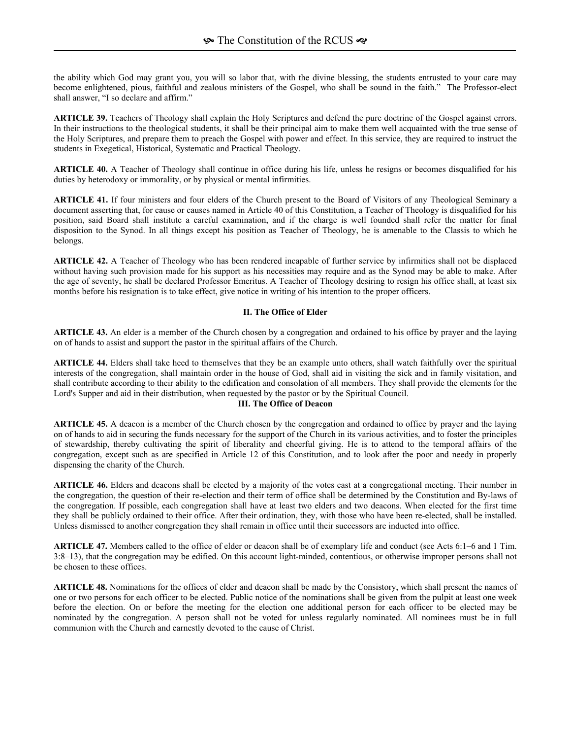the ability which God may grant you, you will so labor that, with the divine blessing, the students entrusted to your care may become enlightened, pious, faithful and zealous ministers of the Gospel, who shall be sound in the faith." The Professor-elect shall answer, "I so declare and affirm."

**ARTICLE 39.** Teachers of Theology shall explain the Holy Scriptures and defend the pure doctrine of the Gospel against errors. In their instructions to the theological students, it shall be their principal aim to make them well acquainted with the true sense of the Holy Scriptures, and prepare them to preach the Gospel with power and effect. In this service, they are required to instruct the students in Exegetical, Historical, Systematic and Practical Theology.

**ARTICLE 40.** A Teacher of Theology shall continue in office during his life, unless he resigns or becomes disqualified for his duties by heterodoxy or immorality, or by physical or mental infirmities.

**ARTICLE 41.** If four ministers and four elders of the Church present to the Board of Visitors of any Theological Seminary a document asserting that, for cause or causes named in Article 40 of this Constitution, a Teacher of Theology is disqualified for his position, said Board shall institute a careful examination, and if the charge is well founded shall refer the matter for final disposition to the Synod. In all things except his position as Teacher of Theology, he is amenable to the Classis to which he belongs.

**ARTICLE 42.** A Teacher of Theology who has been rendered incapable of further service by infirmities shall not be displaced without having such provision made for his support as his necessities may require and as the Synod may be able to make. After the age of seventy, he shall be declared Professor Emeritus. A Teacher of Theology desiring to resign his office shall, at least six months before his resignation is to take effect, give notice in writing of his intention to the proper officers.

### **II. The Office of Elder**

**ARTICLE 43.** An elder is a member of the Church chosen by a congregation and ordained to his office by prayer and the laying on of hands to assist and support the pastor in the spiritual affairs of the Church.

**ARTICLE 44.** Elders shall take heed to themselves that they be an example unto others, shall watch faithfully over the spiritual interests of the congregation, shall maintain order in the house of God, shall aid in visiting the sick and in family visitation, and shall contribute according to their ability to the edification and consolation of all members. They shall provide the elements for the Lord's Supper and aid in their distribution, when requested by the pastor or by the Spiritual Council.

#### **III. The Office of Deacon**

**ARTICLE 45.** A deacon is a member of the Church chosen by the congregation and ordained to office by prayer and the laying on of hands to aid in securing the funds necessary for the support of the Church in its various activities, and to foster the principles of stewardship, thereby cultivating the spirit of liberality and cheerful giving. He is to attend to the temporal affairs of the congregation, except such as are specified in Article 12 of this Constitution, and to look after the poor and needy in properly dispensing the charity of the Church.

**ARTICLE 46.** Elders and deacons shall be elected by a majority of the votes cast at a congregational meeting. Their number in the congregation, the question of their re-election and their term of office shall be determined by the Constitution and By-laws of the congregation. If possible, each congregation shall have at least two elders and two deacons. When elected for the first time they shall be publicly ordained to their office. After their ordination, they, with those who have been re-elected, shall be installed. Unless dismissed to another congregation they shall remain in office until their successors are inducted into office.

**ARTICLE 47.** Members called to the office of elder or deacon shall be of exemplary life and conduct (see Acts 6:1–6 and 1 Tim. 3:8ñ13), that the congregation may be edified. On this account light-minded, contentious, or otherwise improper persons shall not be chosen to these offices.

**ARTICLE 48.** Nominations for the offices of elder and deacon shall be made by the Consistory, which shall present the names of one or two persons for each officer to be elected. Public notice of the nominations shall be given from the pulpit at least one week before the election. On or before the meeting for the election one additional person for each officer to be elected may be nominated by the congregation. A person shall not be voted for unless regularly nominated. All nominees must be in full communion with the Church and earnestly devoted to the cause of Christ.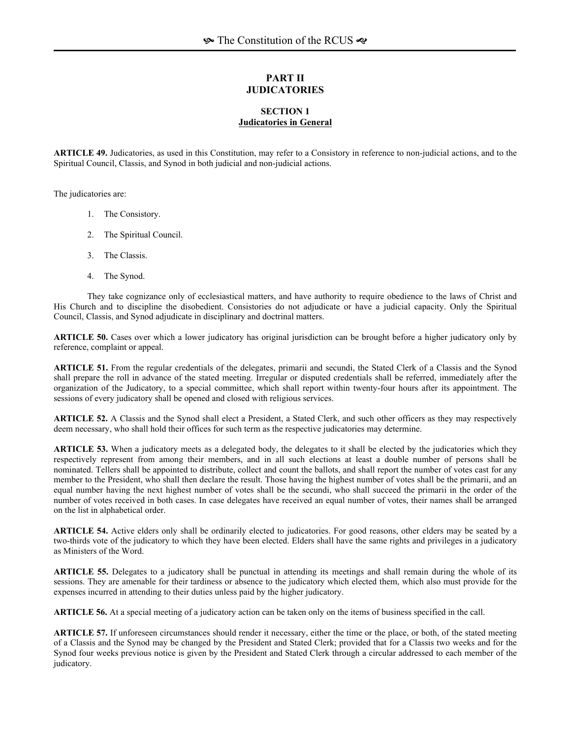# **PART II JUDICATORIES**

#### **SECTION 1 Judicatories in General**

**ARTICLE 49.** Judicatories, as used in this Constitution, may refer to a Consistory in reference to non-judicial actions, and to the Spiritual Council, Classis, and Synod in both judicial and non-judicial actions.

The judicatories are:

- 1. The Consistory.
- 2. The Spiritual Council.
- 3. The Classis.
- 4. The Synod.

They take cognizance only of ecclesiastical matters, and have authority to require obedience to the laws of Christ and His Church and to discipline the disobedient. Consistories do not adjudicate or have a judicial capacity. Only the Spiritual Council, Classis, and Synod adjudicate in disciplinary and doctrinal matters.

**ARTICLE 50.** Cases over which a lower judicatory has original jurisdiction can be brought before a higher judicatory only by reference, complaint or appeal.

**ARTICLE 51.** From the regular credentials of the delegates, primarii and secundi, the Stated Clerk of a Classis and the Synod shall prepare the roll in advance of the stated meeting. Irregular or disputed credentials shall be referred, immediately after the organization of the Judicatory, to a special committee, which shall report within twenty-four hours after its appointment. The sessions of every judicatory shall be opened and closed with religious services.

**ARTICLE 52.** A Classis and the Synod shall elect a President, a Stated Clerk, and such other officers as they may respectively deem necessary, who shall hold their offices for such term as the respective judicatories may determine.

**ARTICLE 53.** When a judicatory meets as a delegated body, the delegates to it shall be elected by the judicatories which they respectively represent from among their members, and in all such elections at least a double number of persons shall be nominated. Tellers shall be appointed to distribute, collect and count the ballots, and shall report the number of votes cast for any member to the President, who shall then declare the result. Those having the highest number of votes shall be the primarii, and an equal number having the next highest number of votes shall be the secundi, who shall succeed the primarii in the order of the number of votes received in both cases. In case delegates have received an equal number of votes, their names shall be arranged on the list in alphabetical order.

**ARTICLE 54.** Active elders only shall be ordinarily elected to judicatories. For good reasons, other elders may be seated by a two-thirds vote of the judicatory to which they have been elected. Elders shall have the same rights and privileges in a judicatory as Ministers of the Word.

**ARTICLE 55.** Delegates to a judicatory shall be punctual in attending its meetings and shall remain during the whole of its sessions. They are amenable for their tardiness or absence to the judicatory which elected them, which also must provide for the expenses incurred in attending to their duties unless paid by the higher judicatory.

**ARTICLE 56.** At a special meeting of a judicatory action can be taken only on the items of business specified in the call.

**ARTICLE 57.** If unforeseen circumstances should render it necessary, either the time or the place, or both, of the stated meeting of a Classis and the Synod may be changed by the President and Stated Clerk; provided that for a Classis two weeks and for the Synod four weeks previous notice is given by the President and Stated Clerk through a circular addressed to each member of the judicatory.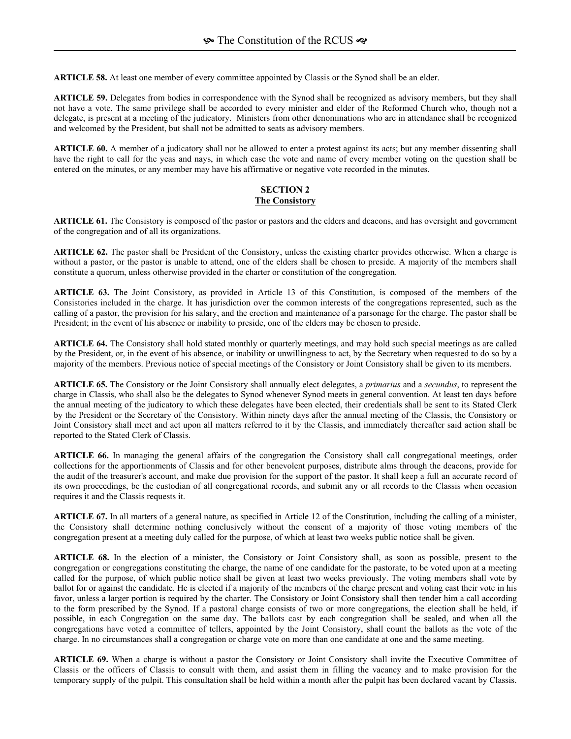**ARTICLE 58.** At least one member of every committee appointed by Classis or the Synod shall be an elder.

**ARTICLE 59.** Delegates from bodies in correspondence with the Synod shall be recognized as advisory members, but they shall not have a vote. The same privilege shall be accorded to every minister and elder of the Reformed Church who, though not a delegate, is present at a meeting of the judicatory. Ministers from other denominations who are in attendance shall be recognized and welcomed by the President, but shall not be admitted to seats as advisory members.

**ARTICLE 60.** A member of a judicatory shall not be allowed to enter a protest against its acts; but any member dissenting shall have the right to call for the yeas and nays, in which case the vote and name of every member voting on the question shall be entered on the minutes, or any member may have his affirmative or negative vote recorded in the minutes.

# **SECTION 2 The Consistory**

**ARTICLE 61.** The Consistory is composed of the pastor or pastors and the elders and deacons, and has oversight and government of the congregation and of all its organizations.

**ARTICLE 62.** The pastor shall be President of the Consistory, unless the existing charter provides otherwise. When a charge is without a pastor, or the pastor is unable to attend, one of the elders shall be chosen to preside. A majority of the members shall constitute a quorum, unless otherwise provided in the charter or constitution of the congregation.

**ARTICLE 63.** The Joint Consistory, as provided in Article 13 of this Constitution, is composed of the members of the Consistories included in the charge. It has jurisdiction over the common interests of the congregations represented, such as the calling of a pastor, the provision for his salary, and the erection and maintenance of a parsonage for the charge. The pastor shall be President; in the event of his absence or inability to preside, one of the elders may be chosen to preside.

**ARTICLE 64.** The Consistory shall hold stated monthly or quarterly meetings, and may hold such special meetings as are called by the President, or, in the event of his absence, or inability or unwillingness to act, by the Secretary when requested to do so by a majority of the members. Previous notice of special meetings of the Consistory or Joint Consistory shall be given to its members.

**ARTICLE 65.** The Consistory or the Joint Consistory shall annually elect delegates, a *primarius* and a *secundus*, to represent the charge in Classis, who shall also be the delegates to Synod whenever Synod meets in general convention. At least ten days before the annual meeting of the judicatory to which these delegates have been elected, their credentials shall be sent to its Stated Clerk by the President or the Secretary of the Consistory. Within ninety days after the annual meeting of the Classis, the Consistory or Joint Consistory shall meet and act upon all matters referred to it by the Classis, and immediately thereafter said action shall be reported to the Stated Clerk of Classis.

**ARTICLE 66.** In managing the general affairs of the congregation the Consistory shall call congregational meetings, order collections for the apportionments of Classis and for other benevolent purposes, distribute alms through the deacons, provide for the audit of the treasurer's account, and make due provision for the support of the pastor. It shall keep a full an accurate record of its own proceedings, be the custodian of all congregational records, and submit any or all records to the Classis when occasion requires it and the Classis requests it.

**ARTICLE 67.** In all matters of a general nature, as specified in Article 12 of the Constitution, including the calling of a minister, the Consistory shall determine nothing conclusively without the consent of a majority of those voting members of the congregation present at a meeting duly called for the purpose, of which at least two weeks public notice shall be given.

**ARTICLE 68.** In the election of a minister, the Consistory or Joint Consistory shall, as soon as possible, present to the congregation or congregations constituting the charge, the name of one candidate for the pastorate, to be voted upon at a meeting called for the purpose, of which public notice shall be given at least two weeks previously. The voting members shall vote by ballot for or against the candidate. He is elected if a majority of the members of the charge present and voting cast their vote in his favor, unless a larger portion is required by the charter. The Consistory or Joint Consistory shall then tender him a call according to the form prescribed by the Synod. If a pastoral charge consists of two or more congregations, the election shall be held, if possible, in each Congregation on the same day. The ballots cast by each congregation shall be sealed, and when all the congregations have voted a committee of tellers, appointed by the Joint Consistory, shall count the ballots as the vote of the charge. In no circumstances shall a congregation or charge vote on more than one candidate at one and the same meeting.

**ARTICLE 69.** When a charge is without a pastor the Consistory or Joint Consistory shall invite the Executive Committee of Classis or the officers of Classis to consult with them, and assist them in filling the vacancy and to make provision for the temporary supply of the pulpit. This consultation shall be held within a month after the pulpit has been declared vacant by Classis.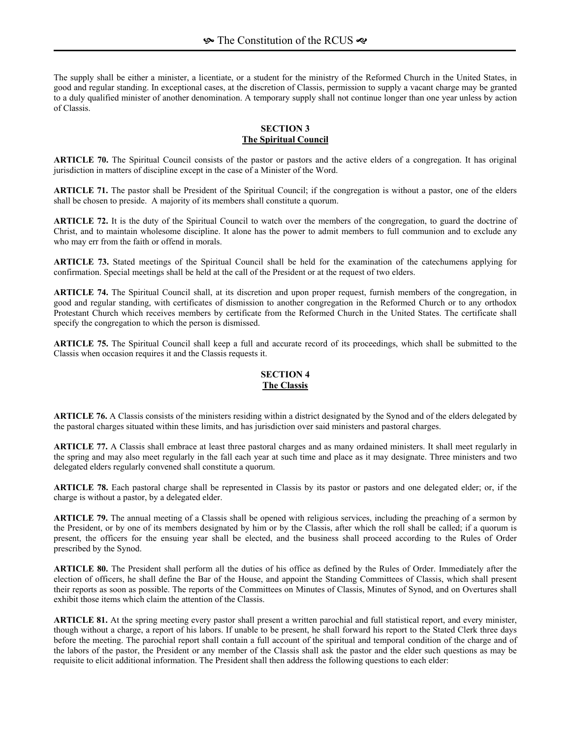The supply shall be either a minister, a licentiate, or a student for the ministry of the Reformed Church in the United States, in good and regular standing. In exceptional cases, at the discretion of Classis, permission to supply a vacant charge may be granted to a duly qualified minister of another denomination. A temporary supply shall not continue longer than one year unless by action of Classis.

# **SECTION 3 The Spiritual Council**

**ARTICLE 70.** The Spiritual Council consists of the pastor or pastors and the active elders of a congregation. It has original jurisdiction in matters of discipline except in the case of a Minister of the Word.

**ARTICLE 71.** The pastor shall be President of the Spiritual Council; if the congregation is without a pastor, one of the elders shall be chosen to preside. A majority of its members shall constitute a quorum.

**ARTICLE 72.** It is the duty of the Spiritual Council to watch over the members of the congregation, to guard the doctrine of Christ, and to maintain wholesome discipline. It alone has the power to admit members to full communion and to exclude any who may err from the faith or offend in morals.

**ARTICLE 73.** Stated meetings of the Spiritual Council shall be held for the examination of the catechumens applying for confirmation. Special meetings shall be held at the call of the President or at the request of two elders.

**ARTICLE 74.** The Spiritual Council shall, at its discretion and upon proper request, furnish members of the congregation, in good and regular standing, with certificates of dismission to another congregation in the Reformed Church or to any orthodox Protestant Church which receives members by certificate from the Reformed Church in the United States. The certificate shall specify the congregation to which the person is dismissed.

**ARTICLE 75.** The Spiritual Council shall keep a full and accurate record of its proceedings, which shall be submitted to the Classis when occasion requires it and the Classis requests it.

# **SECTION 4 The Classis**

**ARTICLE 76.** A Classis consists of the ministers residing within a district designated by the Synod and of the elders delegated by the pastoral charges situated within these limits, and has jurisdiction over said ministers and pastoral charges.

**ARTICLE 77.** A Classis shall embrace at least three pastoral charges and as many ordained ministers. It shall meet regularly in the spring and may also meet regularly in the fall each year at such time and place as it may designate. Three ministers and two delegated elders regularly convened shall constitute a quorum.

**ARTICLE 78.** Each pastoral charge shall be represented in Classis by its pastor or pastors and one delegated elder; or, if the charge is without a pastor, by a delegated elder.

**ARTICLE 79.** The annual meeting of a Classis shall be opened with religious services, including the preaching of a sermon by the President, or by one of its members designated by him or by the Classis, after which the roll shall be called; if a quorum is present, the officers for the ensuing year shall be elected, and the business shall proceed according to the Rules of Order prescribed by the Synod.

**ARTICLE 80.** The President shall perform all the duties of his office as defined by the Rules of Order. Immediately after the election of officers, he shall define the Bar of the House, and appoint the Standing Committees of Classis, which shall present their reports as soon as possible. The reports of the Committees on Minutes of Classis, Minutes of Synod, and on Overtures shall exhibit those items which claim the attention of the Classis.

**ARTICLE 81.** At the spring meeting every pastor shall present a written parochial and full statistical report, and every minister, though without a charge, a report of his labors. If unable to be present, he shall forward his report to the Stated Clerk three days before the meeting. The parochial report shall contain a full account of the spiritual and temporal condition of the charge and of the labors of the pastor, the President or any member of the Classis shall ask the pastor and the elder such questions as may be requisite to elicit additional information. The President shall then address the following questions to each elder: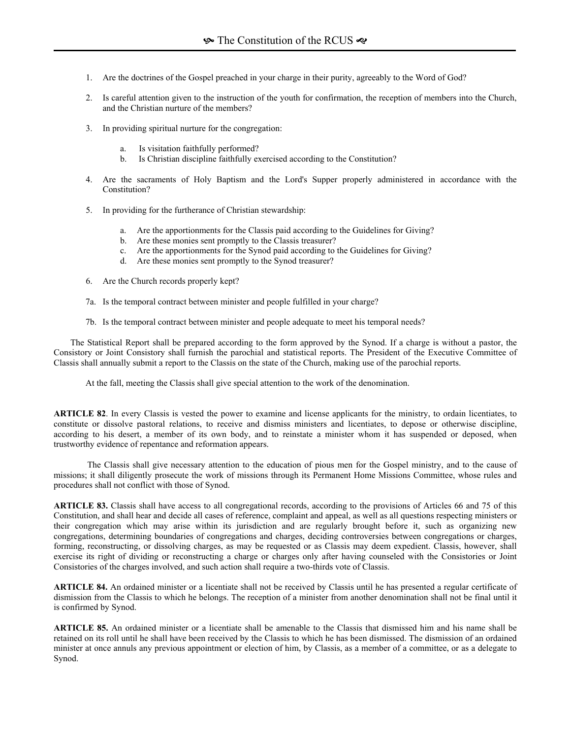- 1. Are the doctrines of the Gospel preached in your charge in their purity, agreeably to the Word of God?
- 2. Is careful attention given to the instruction of the youth for confirmation, the reception of members into the Church, and the Christian nurture of the members?
- 3. In providing spiritual nurture for the congregation:
	- a. Is visitation faithfully performed?
	- b. Is Christian discipline faithfully exercised according to the Constitution?
- 4. Are the sacraments of Holy Baptism and the Lord's Supper properly administered in accordance with the Constitution?
- 5. In providing for the furtherance of Christian stewardship:
	- a. Are the apportionments for the Classis paid according to the Guidelines for Giving?
	- b. Are these monies sent promptly to the Classis treasurer?
	- c. Are the apportionments for the Synod paid according to the Guidelines for Giving?
	- d. Are these monies sent promptly to the Synod treasurer?
- 6. Are the Church records properly kept?
- 7a. Is the temporal contract between minister and people fulfilled in your charge?
- 7b. Is the temporal contract between minister and people adequate to meet his temporal needs?

The Statistical Report shall be prepared according to the form approved by the Synod. If a charge is without a pastor, the Consistory or Joint Consistory shall furnish the parochial and statistical reports. The President of the Executive Committee of Classis shall annually submit a report to the Classis on the state of the Church, making use of the parochial reports.

At the fall, meeting the Classis shall give special attention to the work of the denomination.

**ARTICLE 82**. In every Classis is vested the power to examine and license applicants for the ministry, to ordain licentiates, to constitute or dissolve pastoral relations, to receive and dismiss ministers and licentiates, to depose or otherwise discipline, according to his desert, a member of its own body, and to reinstate a minister whom it has suspended or deposed, when trustworthy evidence of repentance and reformation appears.

The Classis shall give necessary attention to the education of pious men for the Gospel ministry, and to the cause of missions; it shall diligently prosecute the work of missions through its Permanent Home Missions Committee, whose rules and procedures shall not conflict with those of Synod.

**ARTICLE 83.** Classis shall have access to all congregational records, according to the provisions of Articles 66 and 75 of this Constitution, and shall hear and decide all cases of reference, complaint and appeal, as well as all questions respecting ministers or their congregation which may arise within its jurisdiction and are regularly brought before it, such as organizing new congregations, determining boundaries of congregations and charges, deciding controversies between congregations or charges, forming, reconstructing, or dissolving charges, as may be requested or as Classis may deem expedient. Classis, however, shall exercise its right of dividing or reconstructing a charge or charges only after having counseled with the Consistories or Joint Consistories of the charges involved, and such action shall require a two-thirds vote of Classis.

**ARTICLE 84.** An ordained minister or a licentiate shall not be received by Classis until he has presented a regular certificate of dismission from the Classis to which he belongs. The reception of a minister from another denomination shall not be final until it is confirmed by Synod.

**ARTICLE 85.** An ordained minister or a licentiate shall be amenable to the Classis that dismissed him and his name shall be retained on its roll until he shall have been received by the Classis to which he has been dismissed. The dismission of an ordained minister at once annuls any previous appointment or election of him, by Classis, as a member of a committee, or as a delegate to Synod.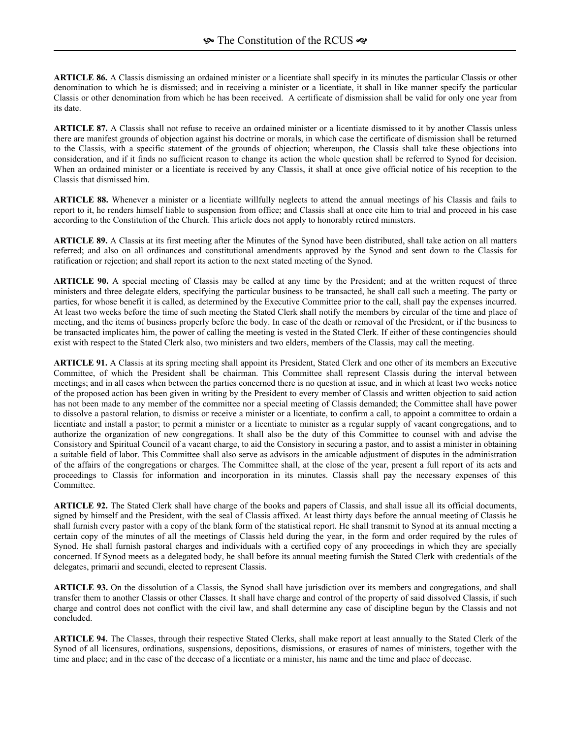**ARTICLE 86.** A Classis dismissing an ordained minister or a licentiate shall specify in its minutes the particular Classis or other denomination to which he is dismissed; and in receiving a minister or a licentiate, it shall in like manner specify the particular Classis or other denomination from which he has been received. A certificate of dismission shall be valid for only one year from its date.

**ARTICLE 87.** A Classis shall not refuse to receive an ordained minister or a licentiate dismissed to it by another Classis unless there are manifest grounds of objection against his doctrine or morals, in which case the certificate of dismission shall be returned to the Classis, with a specific statement of the grounds of objection; whereupon, the Classis shall take these objections into consideration, and if it finds no sufficient reason to change its action the whole question shall be referred to Synod for decision. When an ordained minister or a licentiate is received by any Classis, it shall at once give official notice of his reception to the Classis that dismissed him.

**ARTICLE 88.** Whenever a minister or a licentiate willfully neglects to attend the annual meetings of his Classis and fails to report to it, he renders himself liable to suspension from office; and Classis shall at once cite him to trial and proceed in his case according to the Constitution of the Church. This article does not apply to honorably retired ministers.

**ARTICLE 89.** A Classis at its first meeting after the Minutes of the Synod have been distributed, shall take action on all matters referred; and also on all ordinances and constitutional amendments approved by the Synod and sent down to the Classis for ratification or rejection; and shall report its action to the next stated meeting of the Synod.

**ARTICLE 90.** A special meeting of Classis may be called at any time by the President; and at the written request of three ministers and three delegate elders, specifying the particular business to be transacted, he shall call such a meeting. The party or parties, for whose benefit it is called, as determined by the Executive Committee prior to the call, shall pay the expenses incurred. At least two weeks before the time of such meeting the Stated Clerk shall notify the members by circular of the time and place of meeting, and the items of business properly before the body. In case of the death or removal of the President, or if the business to be transacted implicates him, the power of calling the meeting is vested in the Stated Clerk. If either of these contingencies should exist with respect to the Stated Clerk also, two ministers and two elders, members of the Classis, may call the meeting.

**ARTICLE 91.** A Classis at its spring meeting shall appoint its President, Stated Clerk and one other of its members an Executive Committee, of which the President shall be chairman. This Committee shall represent Classis during the interval between meetings; and in all cases when between the parties concerned there is no question at issue, and in which at least two weeks notice of the proposed action has been given in writing by the President to every member of Classis and written objection to said action has not been made to any member of the committee nor a special meeting of Classis demanded; the Committee shall have power to dissolve a pastoral relation, to dismiss or receive a minister or a licentiate, to confirm a call, to appoint a committee to ordain a licentiate and install a pastor; to permit a minister or a licentiate to minister as a regular supply of vacant congregations, and to authorize the organization of new congregations. It shall also be the duty of this Committee to counsel with and advise the Consistory and Spiritual Council of a vacant charge, to aid the Consistory in securing a pastor, and to assist a minister in obtaining a suitable field of labor. This Committee shall also serve as advisors in the amicable adjustment of disputes in the administration of the affairs of the congregations or charges. The Committee shall, at the close of the year, present a full report of its acts and proceedings to Classis for information and incorporation in its minutes. Classis shall pay the necessary expenses of this Committee.

**ARTICLE 92.** The Stated Clerk shall have charge of the books and papers of Classis, and shall issue all its official documents, signed by himself and the President, with the seal of Classis affixed. At least thirty days before the annual meeting of Classis he shall furnish every pastor with a copy of the blank form of the statistical report. He shall transmit to Synod at its annual meeting a certain copy of the minutes of all the meetings of Classis held during the year, in the form and order required by the rules of Synod. He shall furnish pastoral charges and individuals with a certified copy of any proceedings in which they are specially concerned. If Synod meets as a delegated body, he shall before its annual meeting furnish the Stated Clerk with credentials of the delegates, primarii and secundi, elected to represent Classis.

**ARTICLE 93.** On the dissolution of a Classis, the Synod shall have jurisdiction over its members and congregations, and shall transfer them to another Classis or other Classes. It shall have charge and control of the property of said dissolved Classis, if such charge and control does not conflict with the civil law, and shall determine any case of discipline begun by the Classis and not concluded.

**ARTICLE 94.** The Classes, through their respective Stated Clerks, shall make report at least annually to the Stated Clerk of the Synod of all licensures, ordinations, suspensions, depositions, dismissions, or erasures of names of ministers, together with the time and place; and in the case of the decease of a licentiate or a minister, his name and the time and place of decease.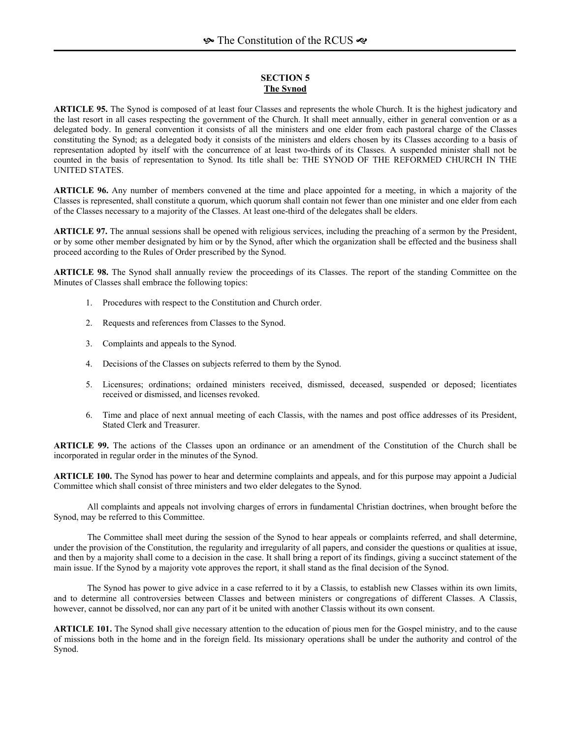### **SECTION 5 The Synod**

**ARTICLE 95.** The Synod is composed of at least four Classes and represents the whole Church. It is the highest judicatory and the last resort in all cases respecting the government of the Church. It shall meet annually, either in general convention or as a delegated body. In general convention it consists of all the ministers and one elder from each pastoral charge of the Classes constituting the Synod; as a delegated body it consists of the ministers and elders chosen by its Classes according to a basis of representation adopted by itself with the concurrence of at least two-thirds of its Classes. A suspended minister shall not be counted in the basis of representation to Synod. Its title shall be: THE SYNOD OF THE REFORMED CHURCH IN THE UNITED STATES.

**ARTICLE 96.** Any number of members convened at the time and place appointed for a meeting, in which a majority of the Classes is represented, shall constitute a quorum, which quorum shall contain not fewer than one minister and one elder from each of the Classes necessary to a majority of the Classes. At least one-third of the delegates shall be elders.

**ARTICLE 97.** The annual sessions shall be opened with religious services, including the preaching of a sermon by the President, or by some other member designated by him or by the Synod, after which the organization shall be effected and the business shall proceed according to the Rules of Order prescribed by the Synod.

**ARTICLE 98.** The Synod shall annually review the proceedings of its Classes. The report of the standing Committee on the Minutes of Classes shall embrace the following topics:

- 1. Procedures with respect to the Constitution and Church order.
- 2. Requests and references from Classes to the Synod.
- 3. Complaints and appeals to the Synod.
- 4. Decisions of the Classes on subjects referred to them by the Synod.
- 5. Licensures; ordinations; ordained ministers received, dismissed, deceased, suspended or deposed; licentiates received or dismissed, and licenses revoked.
- 6. Time and place of next annual meeting of each Classis, with the names and post office addresses of its President, Stated Clerk and Treasurer.

**ARTICLE 99.** The actions of the Classes upon an ordinance or an amendment of the Constitution of the Church shall be incorporated in regular order in the minutes of the Synod.

**ARTICLE 100.** The Synod has power to hear and determine complaints and appeals, and for this purpose may appoint a Judicial Committee which shall consist of three ministers and two elder delegates to the Synod.

All complaints and appeals not involving charges of errors in fundamental Christian doctrines, when brought before the Synod, may be referred to this Committee.

The Committee shall meet during the session of the Synod to hear appeals or complaints referred, and shall determine, under the provision of the Constitution, the regularity and irregularity of all papers, and consider the questions or qualities at issue, and then by a majority shall come to a decision in the case. It shall bring a report of its findings, giving a succinct statement of the main issue. If the Synod by a majority vote approves the report, it shall stand as the final decision of the Synod.

The Synod has power to give advice in a case referred to it by a Classis, to establish new Classes within its own limits, and to determine all controversies between Classes and between ministers or congregations of different Classes. A Classis, however, cannot be dissolved, nor can any part of it be united with another Classis without its own consent.

**ARTICLE 101.** The Synod shall give necessary attention to the education of pious men for the Gospel ministry, and to the cause of missions both in the home and in the foreign field. Its missionary operations shall be under the authority and control of the Synod.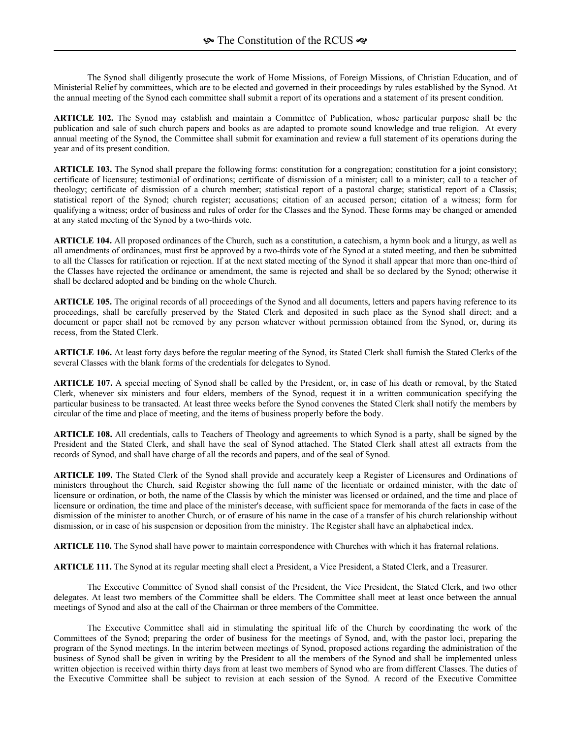The Synod shall diligently prosecute the work of Home Missions, of Foreign Missions, of Christian Education, and of Ministerial Relief by committees, which are to be elected and governed in their proceedings by rules established by the Synod. At the annual meeting of the Synod each committee shall submit a report of its operations and a statement of its present condition.

**ARTICLE 102.** The Synod may establish and maintain a Committee of Publication, whose particular purpose shall be the publication and sale of such church papers and books as are adapted to promote sound knowledge and true religion. At every annual meeting of the Synod, the Committee shall submit for examination and review a full statement of its operations during the year and of its present condition.

**ARTICLE 103.** The Synod shall prepare the following forms: constitution for a congregation; constitution for a joint consistory; certificate of licensure; testimonial of ordinations; certificate of dismission of a minister; call to a minister; call to a teacher of theology; certificate of dismission of a church member; statistical report of a pastoral charge; statistical report of a Classis; statistical report of the Synod; church register; accusations; citation of an accused person; citation of a witness; form for qualifying a witness; order of business and rules of order for the Classes and the Synod. These forms may be changed or amended at any stated meeting of the Synod by a two-thirds vote.

**ARTICLE 104.** All proposed ordinances of the Church, such as a constitution, a catechism, a hymn book and a liturgy, as well as all amendments of ordinances, must first be approved by a two-thirds vote of the Synod at a stated meeting, and then be submitted to all the Classes for ratification or rejection. If at the next stated meeting of the Synod it shall appear that more than one-third of the Classes have rejected the ordinance or amendment, the same is rejected and shall be so declared by the Synod; otherwise it shall be declared adopted and be binding on the whole Church.

**ARTICLE 105.** The original records of all proceedings of the Synod and all documents, letters and papers having reference to its proceedings, shall be carefully preserved by the Stated Clerk and deposited in such place as the Synod shall direct; and a document or paper shall not be removed by any person whatever without permission obtained from the Synod, or, during its recess, from the Stated Clerk.

**ARTICLE 106.** At least forty days before the regular meeting of the Synod, its Stated Clerk shall furnish the Stated Clerks of the several Classes with the blank forms of the credentials for delegates to Synod.

**ARTICLE 107.** A special meeting of Synod shall be called by the President, or, in case of his death or removal, by the Stated Clerk, whenever six ministers and four elders, members of the Synod, request it in a written communication specifying the particular business to be transacted. At least three weeks before the Synod convenes the Stated Clerk shall notify the members by circular of the time and place of meeting, and the items of business properly before the body.

**ARTICLE 108.** All credentials, calls to Teachers of Theology and agreements to which Synod is a party, shall be signed by the President and the Stated Clerk, and shall have the seal of Synod attached. The Stated Clerk shall attest all extracts from the records of Synod, and shall have charge of all the records and papers, and of the seal of Synod.

**ARTICLE 109.** The Stated Clerk of the Synod shall provide and accurately keep a Register of Licensures and Ordinations of ministers throughout the Church, said Register showing the full name of the licentiate or ordained minister, with the date of licensure or ordination, or both, the name of the Classis by which the minister was licensed or ordained, and the time and place of licensure or ordination, the time and place of the minister's decease, with sufficient space for memoranda of the facts in case of the dismission of the minister to another Church, or of erasure of his name in the case of a transfer of his church relationship without dismission, or in case of his suspension or deposition from the ministry. The Register shall have an alphabetical index.

**ARTICLE 110.** The Synod shall have power to maintain correspondence with Churches with which it has fraternal relations.

**ARTICLE 111.** The Synod at its regular meeting shall elect a President, a Vice President, a Stated Clerk, and a Treasurer.

The Executive Committee of Synod shall consist of the President, the Vice President, the Stated Clerk, and two other delegates. At least two members of the Committee shall be elders. The Committee shall meet at least once between the annual meetings of Synod and also at the call of the Chairman or three members of the Committee.

The Executive Committee shall aid in stimulating the spiritual life of the Church by coordinating the work of the Committees of the Synod; preparing the order of business for the meetings of Synod, and, with the pastor loci, preparing the program of the Synod meetings. In the interim between meetings of Synod, proposed actions regarding the administration of the business of Synod shall be given in writing by the President to all the members of the Synod and shall be implemented unless written objection is received within thirty days from at least two members of Synod who are from different Classes. The duties of the Executive Committee shall be subject to revision at each session of the Synod. A record of the Executive Committee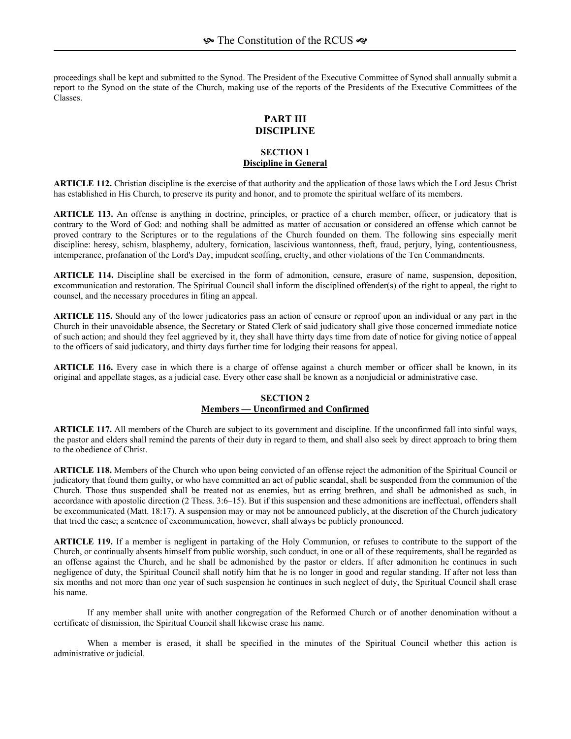proceedings shall be kept and submitted to the Synod. The President of the Executive Committee of Synod shall annually submit a report to the Synod on the state of the Church, making use of the reports of the Presidents of the Executive Committees of the Classes.

#### **PART III DISCIPLINE**

## **SECTION 1 Discipline in General**

**ARTICLE 112.** Christian discipline is the exercise of that authority and the application of those laws which the Lord Jesus Christ has established in His Church, to preserve its purity and honor, and to promote the spiritual welfare of its members.

**ARTICLE 113.** An offense is anything in doctrine, principles, or practice of a church member, officer, or judicatory that is contrary to the Word of God: and nothing shall be admitted as matter of accusation or considered an offense which cannot be proved contrary to the Scriptures or to the regulations of the Church founded on them. The following sins especially merit discipline: heresy, schism, blasphemy, adultery, fornication, lascivious wantonness, theft, fraud, perjury, lying, contentiousness, intemperance, profanation of the Lord's Day, impudent scoffing, cruelty, and other violations of the Ten Commandments.

**ARTICLE 114.** Discipline shall be exercised in the form of admonition, censure, erasure of name, suspension, deposition, excommunication and restoration. The Spiritual Council shall inform the disciplined offender(s) of the right to appeal, the right to counsel, and the necessary procedures in filing an appeal.

**ARTICLE 115.** Should any of the lower judicatories pass an action of censure or reproof upon an individual or any part in the Church in their unavoidable absence, the Secretary or Stated Clerk of said judicatory shall give those concerned immediate notice of such action; and should they feel aggrieved by it, they shall have thirty days time from date of notice for giving notice of appeal to the officers of said judicatory, and thirty days further time for lodging their reasons for appeal.

**ARTICLE 116.** Every case in which there is a charge of offense against a church member or officer shall be known, in its original and appellate stages, as a judicial case. Every other case shall be known as a nonjudicial or administrative case.

## **SECTION 2 Members — Unconfirmed and Confirmed**

**ARTICLE 117.** All members of the Church are subject to its government and discipline. If the unconfirmed fall into sinful ways, the pastor and elders shall remind the parents of their duty in regard to them, and shall also seek by direct approach to bring them to the obedience of Christ.

**ARTICLE 118.** Members of the Church who upon being convicted of an offense reject the admonition of the Spiritual Council or judicatory that found them guilty, or who have committed an act of public scandal, shall be suspended from the communion of the Church. Those thus suspended shall be treated not as enemies, but as erring brethren, and shall be admonished as such, in accordance with apostolic direction  $(2 \text{ Thess. } 3:6-15)$ . But if this suspension and these admonitions are ineffectual, offenders shall be excommunicated (Matt. 18:17). A suspension may or may not be announced publicly, at the discretion of the Church judicatory that tried the case; a sentence of excommunication, however, shall always be publicly pronounced.

**ARTICLE 119.** If a member is negligent in partaking of the Holy Communion, or refuses to contribute to the support of the Church, or continually absents himself from public worship, such conduct, in one or all of these requirements, shall be regarded as an offense against the Church, and he shall be admonished by the pastor or elders. If after admonition he continues in such negligence of duty, the Spiritual Council shall notify him that he is no longer in good and regular standing. If after not less than six months and not more than one year of such suspension he continues in such neglect of duty, the Spiritual Council shall erase his name.

If any member shall unite with another congregation of the Reformed Church or of another denomination without a certificate of dismission, the Spiritual Council shall likewise erase his name.

When a member is erased, it shall be specified in the minutes of the Spiritual Council whether this action is administrative or judicial.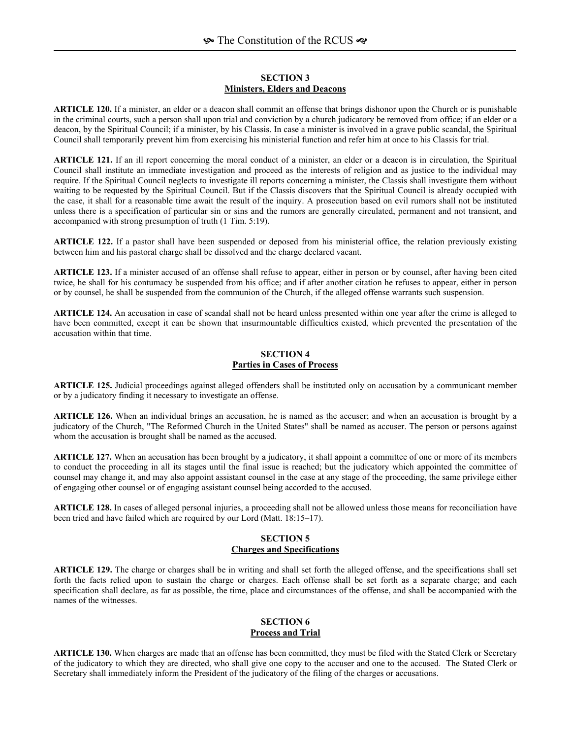#### **SECTION 3 Ministers, Elders and Deacons**

**ARTICLE 120.** If a minister, an elder or a deacon shall commit an offense that brings dishonor upon the Church or is punishable in the criminal courts, such a person shall upon trial and conviction by a church judicatory be removed from office; if an elder or a deacon, by the Spiritual Council; if a minister, by his Classis. In case a minister is involved in a grave public scandal, the Spiritual Council shall temporarily prevent him from exercising his ministerial function and refer him at once to his Classis for trial.

**ARTICLE 121.** If an ill report concerning the moral conduct of a minister, an elder or a deacon is in circulation, the Spiritual Council shall institute an immediate investigation and proceed as the interests of religion and as justice to the individual may require. If the Spiritual Council neglects to investigate ill reports concerning a minister, the Classis shall investigate them without waiting to be requested by the Spiritual Council. But if the Classis discovers that the Spiritual Council is already occupied with the case, it shall for a reasonable time await the result of the inquiry. A prosecution based on evil rumors shall not be instituted unless there is a specification of particular sin or sins and the rumors are generally circulated, permanent and not transient, and accompanied with strong presumption of truth (1 Tim. 5:19).

**ARTICLE 122.** If a pastor shall have been suspended or deposed from his ministerial office, the relation previously existing between him and his pastoral charge shall be dissolved and the charge declared vacant.

**ARTICLE 123.** If a minister accused of an offense shall refuse to appear, either in person or by counsel, after having been cited twice, he shall for his contumacy be suspended from his office; and if after another citation he refuses to appear, either in person or by counsel, he shall be suspended from the communion of the Church, if the alleged offense warrants such suspension.

**ARTICLE 124.** An accusation in case of scandal shall not be heard unless presented within one year after the crime is alleged to have been committed, except it can be shown that insurmountable difficulties existed, which prevented the presentation of the accusation within that time.

# **SECTION 4 Parties in Cases of Process**

**ARTICLE 125.** Judicial proceedings against alleged offenders shall be instituted only on accusation by a communicant member or by a judicatory finding it necessary to investigate an offense.

**ARTICLE 126.** When an individual brings an accusation, he is named as the accuser; and when an accusation is brought by a judicatory of the Church, "The Reformed Church in the United States" shall be named as accuser. The person or persons against whom the accusation is brought shall be named as the accused.

**ARTICLE 127.** When an accusation has been brought by a judicatory, it shall appoint a committee of one or more of its members to conduct the proceeding in all its stages until the final issue is reached; but the judicatory which appointed the committee of counsel may change it, and may also appoint assistant counsel in the case at any stage of the proceeding, the same privilege either of engaging other counsel or of engaging assistant counsel being accorded to the accused.

**ARTICLE 128.** In cases of alleged personal injuries, a proceeding shall not be allowed unless those means for reconciliation have been tried and have failed which are required by our Lord (Matt. 18:15-17).

## **SECTION 5 Charges and Specifications**

**ARTICLE 129.** The charge or charges shall be in writing and shall set forth the alleged offense, and the specifications shall set forth the facts relied upon to sustain the charge or charges. Each offense shall be set forth as a separate charge; and each specification shall declare, as far as possible, the time, place and circumstances of the offense, and shall be accompanied with the names of the witnesses.

### **SECTION 6 Process and Trial**

**ARTICLE 130.** When charges are made that an offense has been committed, they must be filed with the Stated Clerk or Secretary of the judicatory to which they are directed, who shall give one copy to the accuser and one to the accused. The Stated Clerk or Secretary shall immediately inform the President of the judicatory of the filing of the charges or accusations.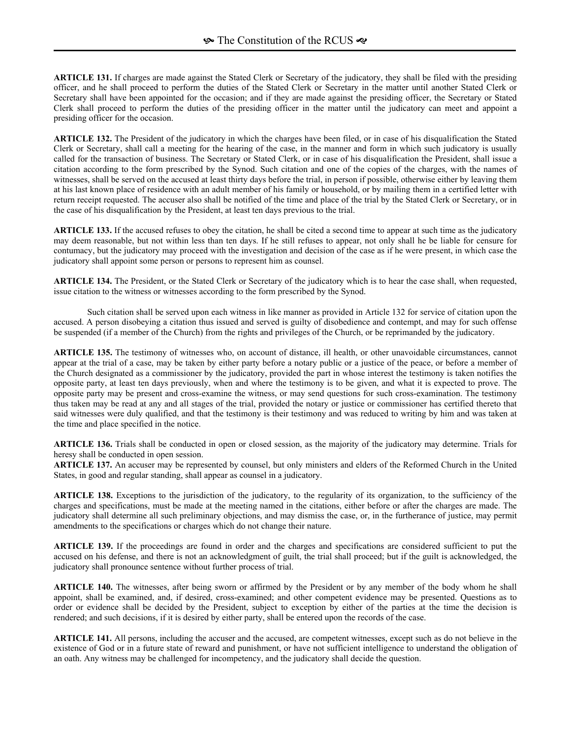**ARTICLE 131.** If charges are made against the Stated Clerk or Secretary of the judicatory, they shall be filed with the presiding officer, and he shall proceed to perform the duties of the Stated Clerk or Secretary in the matter until another Stated Clerk or Secretary shall have been appointed for the occasion; and if they are made against the presiding officer, the Secretary or Stated Clerk shall proceed to perform the duties of the presiding officer in the matter until the judicatory can meet and appoint a presiding officer for the occasion.

**ARTICLE 132.** The President of the judicatory in which the charges have been filed, or in case of his disqualification the Stated Clerk or Secretary, shall call a meeting for the hearing of the case, in the manner and form in which such judicatory is usually called for the transaction of business. The Secretary or Stated Clerk, or in case of his disqualification the President, shall issue a citation according to the form prescribed by the Synod. Such citation and one of the copies of the charges, with the names of witnesses, shall be served on the accused at least thirty days before the trial, in person if possible, otherwise either by leaving them at his last known place of residence with an adult member of his family or household, or by mailing them in a certified letter with return receipt requested. The accuser also shall be notified of the time and place of the trial by the Stated Clerk or Secretary, or in the case of his disqualification by the President, at least ten days previous to the trial.

**ARTICLE 133.** If the accused refuses to obey the citation, he shall be cited a second time to appear at such time as the judicatory may deem reasonable, but not within less than ten days. If he still refuses to appear, not only shall he be liable for censure for contumacy, but the judicatory may proceed with the investigation and decision of the case as if he were present, in which case the judicatory shall appoint some person or persons to represent him as counsel.

**ARTICLE 134.** The President, or the Stated Clerk or Secretary of the judicatory which is to hear the case shall, when requested, issue citation to the witness or witnesses according to the form prescribed by the Synod.

Such citation shall be served upon each witness in like manner as provided in Article 132 for service of citation upon the accused. A person disobeying a citation thus issued and served is guilty of disobedience and contempt, and may for such offense be suspended (if a member of the Church) from the rights and privileges of the Church, or be reprimanded by the judicatory.

**ARTICLE 135.** The testimony of witnesses who, on account of distance, ill health, or other unavoidable circumstances, cannot appear at the trial of a case, may be taken by either party before a notary public or a justice of the peace, or before a member of the Church designated as a commissioner by the judicatory, provided the part in whose interest the testimony is taken notifies the opposite party, at least ten days previously, when and where the testimony is to be given, and what it is expected to prove. The opposite party may be present and cross-examine the witness, or may send questions for such cross-examination. The testimony thus taken may be read at any and all stages of the trial, provided the notary or justice or commissioner has certified thereto that said witnesses were duly qualified, and that the testimony is their testimony and was reduced to writing by him and was taken at the time and place specified in the notice.

**ARTICLE 136.** Trials shall be conducted in open or closed session, as the majority of the judicatory may determine. Trials for heresy shall be conducted in open session.

**ARTICLE 137.** An accuser may be represented by counsel, but only ministers and elders of the Reformed Church in the United States, in good and regular standing, shall appear as counsel in a judicatory.

**ARTICLE 138.** Exceptions to the jurisdiction of the judicatory, to the regularity of its organization, to the sufficiency of the charges and specifications, must be made at the meeting named in the citations, either before or after the charges are made. The judicatory shall determine all such preliminary objections, and may dismiss the case, or, in the furtherance of justice, may permit amendments to the specifications or charges which do not change their nature.

**ARTICLE 139.** If the proceedings are found in order and the charges and specifications are considered sufficient to put the accused on his defense, and there is not an acknowledgment of guilt, the trial shall proceed; but if the guilt is acknowledged, the judicatory shall pronounce sentence without further process of trial.

**ARTICLE 140.** The witnesses, after being sworn or affirmed by the President or by any member of the body whom he shall appoint, shall be examined, and, if desired, cross-examined; and other competent evidence may be presented. Questions as to order or evidence shall be decided by the President, subject to exception by either of the parties at the time the decision is rendered; and such decisions, if it is desired by either party, shall be entered upon the records of the case.

**ARTICLE 141.** All persons, including the accuser and the accused, are competent witnesses, except such as do not believe in the existence of God or in a future state of reward and punishment, or have not sufficient intelligence to understand the obligation of an oath. Any witness may be challenged for incompetency, and the judicatory shall decide the question.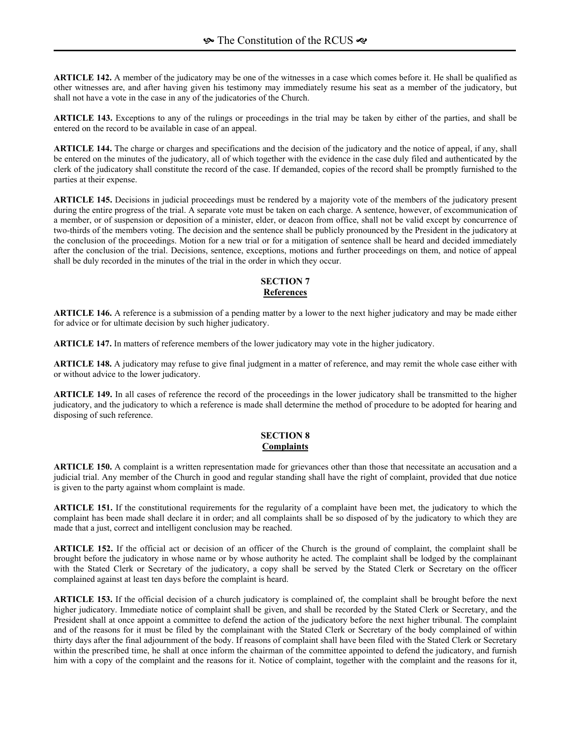**ARTICLE 142.** A member of the judicatory may be one of the witnesses in a case which comes before it. He shall be qualified as other witnesses are, and after having given his testimony may immediately resume his seat as a member of the judicatory, but shall not have a vote in the case in any of the judicatories of the Church.

**ARTICLE 143.** Exceptions to any of the rulings or proceedings in the trial may be taken by either of the parties, and shall be entered on the record to be available in case of an appeal.

**ARTICLE 144.** The charge or charges and specifications and the decision of the judicatory and the notice of appeal, if any, shall be entered on the minutes of the judicatory, all of which together with the evidence in the case duly filed and authenticated by the clerk of the judicatory shall constitute the record of the case. If demanded, copies of the record shall be promptly furnished to the parties at their expense.

**ARTICLE 145.** Decisions in judicial proceedings must be rendered by a majority vote of the members of the judicatory present during the entire progress of the trial. A separate vote must be taken on each charge. A sentence, however, of excommunication of a member, or of suspension or deposition of a minister, elder, or deacon from office, shall not be valid except by concurrence of two-thirds of the members voting. The decision and the sentence shall be publicly pronounced by the President in the judicatory at the conclusion of the proceedings. Motion for a new trial or for a mitigation of sentence shall be heard and decided immediately after the conclusion of the trial. Decisions, sentence, exceptions, motions and further proceedings on them, and notice of appeal shall be duly recorded in the minutes of the trial in the order in which they occur.

## **SECTION 7 References**

**ARTICLE 146.** A reference is a submission of a pending matter by a lower to the next higher judicatory and may be made either for advice or for ultimate decision by such higher judicatory.

**ARTICLE 147.** In matters of reference members of the lower judicatory may vote in the higher judicatory.

**ARTICLE 148.** A judicatory may refuse to give final judgment in a matter of reference, and may remit the whole case either with or without advice to the lower judicatory.

**ARTICLE 149.** In all cases of reference the record of the proceedings in the lower judicatory shall be transmitted to the higher judicatory, and the judicatory to which a reference is made shall determine the method of procedure to be adopted for hearing and disposing of such reference.

## **SECTION 8 Complaints**

**ARTICLE 150.** A complaint is a written representation made for grievances other than those that necessitate an accusation and a judicial trial. Any member of the Church in good and regular standing shall have the right of complaint, provided that due notice is given to the party against whom complaint is made.

**ARTICLE 151.** If the constitutional requirements for the regularity of a complaint have been met, the judicatory to which the complaint has been made shall declare it in order; and all complaints shall be so disposed of by the judicatory to which they are made that a just, correct and intelligent conclusion may be reached.

**ARTICLE 152.** If the official act or decision of an officer of the Church is the ground of complaint, the complaint shall be brought before the judicatory in whose name or by whose authority he acted. The complaint shall be lodged by the complainant with the Stated Clerk or Secretary of the judicatory, a copy shall be served by the Stated Clerk or Secretary on the officer complained against at least ten days before the complaint is heard.

**ARTICLE 153.** If the official decision of a church judicatory is complained of, the complaint shall be brought before the next higher judicatory. Immediate notice of complaint shall be given, and shall be recorded by the Stated Clerk or Secretary, and the President shall at once appoint a committee to defend the action of the judicatory before the next higher tribunal. The complaint and of the reasons for it must be filed by the complainant with the Stated Clerk or Secretary of the body complained of within thirty days after the final adjournment of the body. If reasons of complaint shall have been filed with the Stated Clerk or Secretary within the prescribed time, he shall at once inform the chairman of the committee appointed to defend the judicatory, and furnish him with a copy of the complaint and the reasons for it. Notice of complaint, together with the complaint and the reasons for it,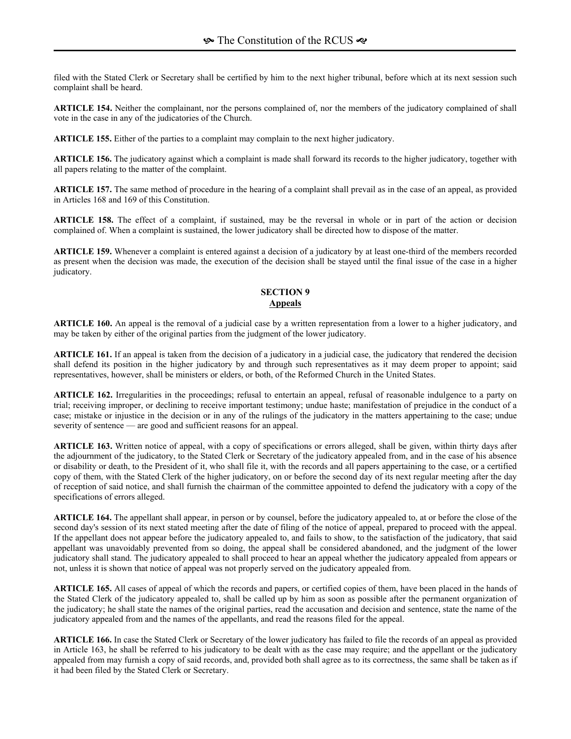filed with the Stated Clerk or Secretary shall be certified by him to the next higher tribunal, before which at its next session such complaint shall be heard.

**ARTICLE 154.** Neither the complainant, nor the persons complained of, nor the members of the judicatory complained of shall vote in the case in any of the judicatories of the Church.

**ARTICLE 155.** Either of the parties to a complaint may complain to the next higher judicatory.

**ARTICLE 156.** The judicatory against which a complaint is made shall forward its records to the higher judicatory, together with all papers relating to the matter of the complaint.

**ARTICLE 157.** The same method of procedure in the hearing of a complaint shall prevail as in the case of an appeal, as provided in Articles 168 and 169 of this Constitution.

**ARTICLE 158.** The effect of a complaint, if sustained, may be the reversal in whole or in part of the action or decision complained of. When a complaint is sustained, the lower judicatory shall be directed how to dispose of the matter.

**ARTICLE 159.** Whenever a complaint is entered against a decision of a judicatory by at least one-third of the members recorded as present when the decision was made, the execution of the decision shall be stayed until the final issue of the case in a higher judicatory.

### **SECTION 9 Appeals**

**ARTICLE 160.** An appeal is the removal of a judicial case by a written representation from a lower to a higher judicatory, and may be taken by either of the original parties from the judgment of the lower judicatory.

**ARTICLE 161.** If an appeal is taken from the decision of a judicatory in a judicial case, the judicatory that rendered the decision shall defend its position in the higher judicatory by and through such representatives as it may deem proper to appoint; said representatives, however, shall be ministers or elders, or both, of the Reformed Church in the United States.

**ARTICLE 162.** Irregularities in the proceedings; refusal to entertain an appeal, refusal of reasonable indulgence to a party on trial; receiving improper, or declining to receive important testimony; undue haste; manifestation of prejudice in the conduct of a case; mistake or injustice in the decision or in any of the rulings of the judicatory in the matters appertaining to the case; undue severity of sentence  $\frac{a}{b}$  are good and sufficient reasons for an appeal.

**ARTICLE 163.** Written notice of appeal, with a copy of specifications or errors alleged, shall be given, within thirty days after the adjournment of the judicatory, to the Stated Clerk or Secretary of the judicatory appealed from, and in the case of his absence or disability or death, to the President of it, who shall file it, with the records and all papers appertaining to the case, or a certified copy of them, with the Stated Clerk of the higher judicatory, on or before the second day of its next regular meeting after the day of reception of said notice, and shall furnish the chairman of the committee appointed to defend the judicatory with a copy of the specifications of errors alleged.

**ARTICLE 164.** The appellant shall appear, in person or by counsel, before the judicatory appealed to, at or before the close of the second day's session of its next stated meeting after the date of filing of the notice of appeal, prepared to proceed with the appeal. If the appellant does not appear before the judicatory appealed to, and fails to show, to the satisfaction of the judicatory, that said appellant was unavoidably prevented from so doing, the appeal shall be considered abandoned, and the judgment of the lower judicatory shall stand. The judicatory appealed to shall proceed to hear an appeal whether the judicatory appealed from appears or not, unless it is shown that notice of appeal was not properly served on the judicatory appealed from.

**ARTICLE 165.** All cases of appeal of which the records and papers, or certified copies of them, have been placed in the hands of the Stated Clerk of the judicatory appealed to, shall be called up by him as soon as possible after the permanent organization of the judicatory; he shall state the names of the original parties, read the accusation and decision and sentence, state the name of the judicatory appealed from and the names of the appellants, and read the reasons filed for the appeal.

**ARTICLE 166.** In case the Stated Clerk or Secretary of the lower judicatory has failed to file the records of an appeal as provided in Article 163, he shall be referred to his judicatory to be dealt with as the case may require; and the appellant or the judicatory appealed from may furnish a copy of said records, and, provided both shall agree as to its correctness, the same shall be taken as if it had been filed by the Stated Clerk or Secretary.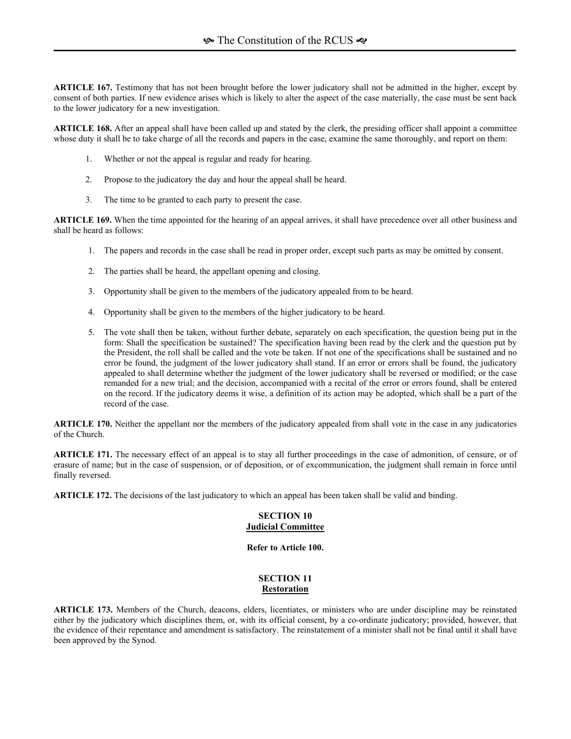**ARTICLE 167.** Testimony that has not been brought before the lower judicatory shall not be admitted in the higher, except by consent of both parties. If new evidence arises which is likely to alter the aspect of the case materially, the case must be sent back to the lower judicatory for a new investigation.

**ARTICLE 168.** After an appeal shall have been called up and stated by the clerk, the presiding officer shall appoint a committee whose duty it shall be to take charge of all the records and papers in the case, examine the same thoroughly, and report on them:

- 1. Whether or not the appeal is regular and ready for hearing.
- 2. Propose to the judicatory the day and hour the appeal shall be heard.
- 3. The time to be granted to each party to present the case.

**ARTICLE 169.** When the time appointed for the hearing of an appeal arrives, it shall have precedence over all other business and shall be heard as follows:

- 1. The papers and records in the case shall be read in proper order, except such parts as may be omitted by consent.
- 2. The parties shall be heard, the appellant opening and closing.
- 3. Opportunity shall be given to the members of the judicatory appealed from to be heard.
- 4. Opportunity shall be given to the members of the higher judicatory to be heard.
- 5. The vote shall then be taken, without further debate, separately on each specification, the question being put in the form: Shall the specification be sustained? The specification having been read by the clerk and the question put by the President, the roll shall be called and the vote be taken. If not one of the specifications shall be sustained and no error be found, the judgment of the lower judicatory shall stand. If an error or errors shall be found, the judicatory appealed to shall determine whether the judgment of the lower judicatory shall be reversed or modified; or the case remanded for a new trial; and the decision, accompanied with a recital of the error or errors found, shall be entered on the record. If the judicatory deems it wise, a definition of its action may be adopted, which shall be a part of the record of the case.

**ARTICLE 170.** Neither the appellant nor the members of the judicatory appealed from shall vote in the case in any judicatories of the Church.

**ARTICLE 171.** The necessary effect of an appeal is to stay all further proceedings in the case of admonition, of censure, or of erasure of name; but in the case of suspension, or of deposition, or of excommunication, the judgment shall remain in force until finally reversed.

**ARTICLE 172.** The decisions of the last judicatory to which an appeal has been taken shall be valid and binding.

### **SECTION 10 Judicial Committee**

**Refer to Article 100.** 

#### **SECTION 11 Restoration**

**ARTICLE 173.** Members of the Church, deacons, elders, licentiates, or ministers who are under discipline may be reinstated either by the judicatory which disciplines them, or, with its official consent, by a co-ordinate judicatory; provided, however, that the evidence of their repentance and amendment is satisfactory. The reinstatement of a minister shall not be final until it shall have been approved by the Synod.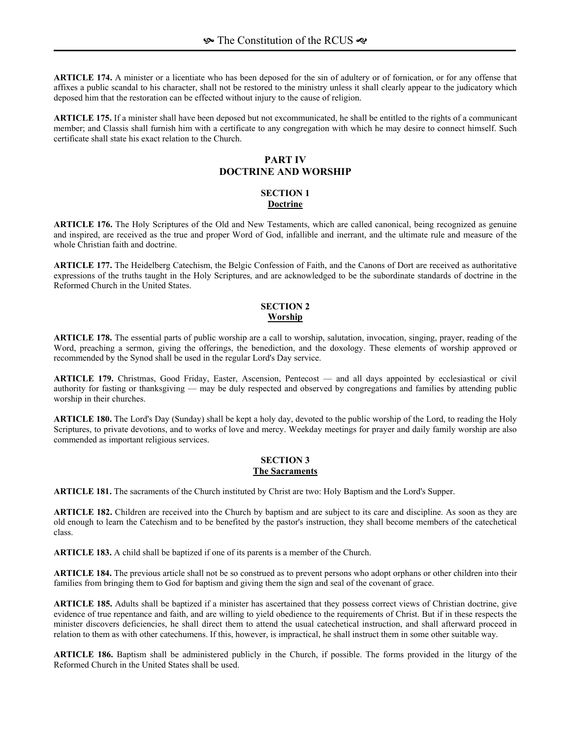**ARTICLE 174.** A minister or a licentiate who has been deposed for the sin of adultery or of fornication, or for any offense that affixes a public scandal to his character, shall not be restored to the ministry unless it shall clearly appear to the judicatory which deposed him that the restoration can be effected without injury to the cause of religion.

**ARTICLE 175.** If a minister shall have been deposed but not excommunicated, he shall be entitled to the rights of a communicant member; and Classis shall furnish him with a certificate to any congregation with which he may desire to connect himself. Such certificate shall state his exact relation to the Church.

# **PART IV DOCTRINE AND WORSHIP**

## **SECTION 1 Doctrine**

**ARTICLE 176.** The Holy Scriptures of the Old and New Testaments, which are called canonical, being recognized as genuine and inspired, are received as the true and proper Word of God, infallible and inerrant, and the ultimate rule and measure of the whole Christian faith and doctrine.

**ARTICLE 177.** The Heidelberg Catechism, the Belgic Confession of Faith, and the Canons of Dort are received as authoritative expressions of the truths taught in the Holy Scriptures, and are acknowledged to be the subordinate standards of doctrine in the Reformed Church in the United States.

## **SECTION 2 Worship**

**ARTICLE 178.** The essential parts of public worship are a call to worship, salutation, invocation, singing, prayer, reading of the Word, preaching a sermon, giving the offerings, the benediction, and the doxology. These elements of worship approved or recommended by the Synod shall be used in the regular Lord's Day service.

**ARTICLE 179.** Christmas, Good Friday, Easter, Ascension, Pentecost — and all days appointed by ecclesiastical or civil authority for fasting or thanksgiving — may be duly respected and observed by congregations and families by attending public worship in their churches.

**ARTICLE 180.** The Lord's Day (Sunday) shall be kept a holy day, devoted to the public worship of the Lord, to reading the Holy Scriptures, to private devotions, and to works of love and mercy. Weekday meetings for prayer and daily family worship are also commended as important religious services.

### **SECTION 3 The Sacraments**

**ARTICLE 181.** The sacraments of the Church instituted by Christ are two: Holy Baptism and the Lord's Supper.

**ARTICLE 182.** Children are received into the Church by baptism and are subject to its care and discipline. As soon as they are old enough to learn the Catechism and to be benefited by the pastor's instruction, they shall become members of the catechetical class.

**ARTICLE 183.** A child shall be baptized if one of its parents is a member of the Church.

**ARTICLE 184.** The previous article shall not be so construed as to prevent persons who adopt orphans or other children into their families from bringing them to God for baptism and giving them the sign and seal of the covenant of grace.

**ARTICLE 185.** Adults shall be baptized if a minister has ascertained that they possess correct views of Christian doctrine, give evidence of true repentance and faith, and are willing to yield obedience to the requirements of Christ. But if in these respects the minister discovers deficiencies, he shall direct them to attend the usual catechetical instruction, and shall afterward proceed in relation to them as with other catechumens. If this, however, is impractical, he shall instruct them in some other suitable way.

**ARTICLE 186.** Baptism shall be administered publicly in the Church, if possible. The forms provided in the liturgy of the Reformed Church in the United States shall be used.